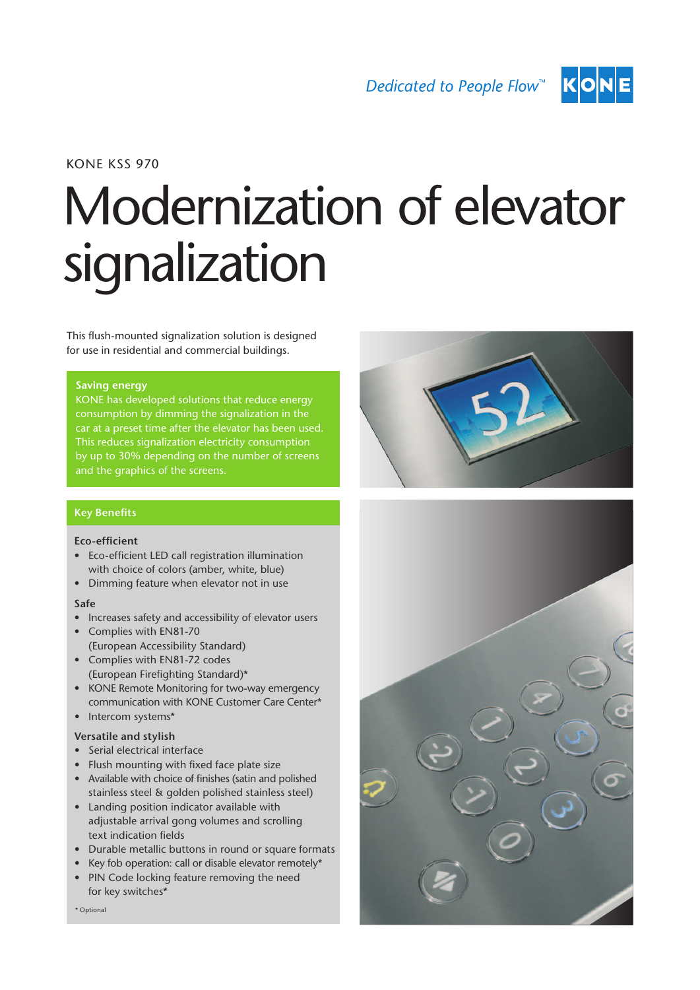

# KONE KSS 970

# Modernization of elevator signalization

This flush-mounted signalization solution is designed for use in residential and commercial buildings.

#### **Saving energy**

KONE has developed solutions that reduce energy consumption by dimming the signalization in the This reduces signalization electricity consumption by up to 30% depending on the number of screens and the graphics of the screens.

#### Key Benefits

#### Eco-efficient

- • Eco-efficient LED call registration illumination with choice of colors (amber, white, blue)
- • Dimming feature when elevator not in use

#### Safe

- Increases safety and accessibility of elevator users
- Complies with EN81-70 (European Accessibility Standard)
- • Complies with EN81-72 codes (European Firefighting Standard)\*
- KONE Remote Monitoring for two-way emergency communication with KONE Customer Care Center\*
- Intercom systems\*

# Versatile and stylish

- • Serial electrical interface
- • Flush mounting with fixed face plate size
- Available with choice of finishes (satin and polished stainless steel & golden polished stainless steel)
- • Landing position indicator available with adjustable arrival gong volumes and scrolling text indication fields
- Durable metallic buttons in round or square formats
- Key fob operation: call or disable elevator remotely\*
- PIN Code locking feature removing the need for key switches\*





\* Optional